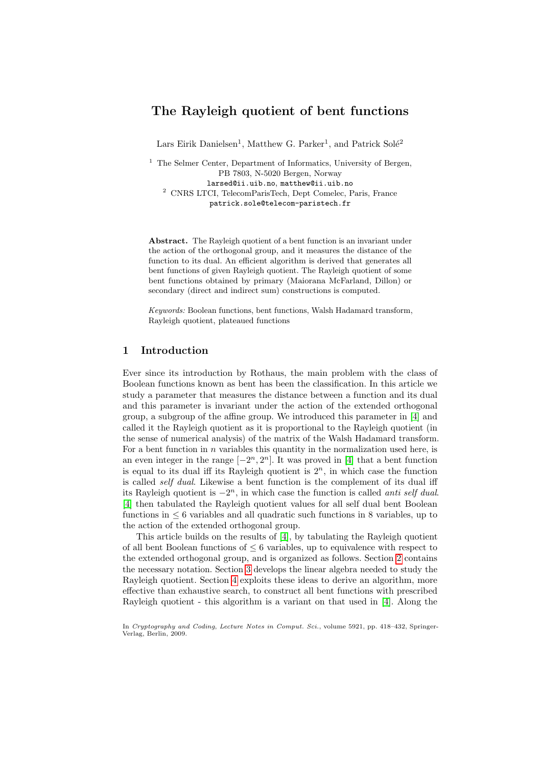# The Rayleigh quotient of bent functions

Lars Eirik Danielsen<sup>1</sup>, Matthew G. Parker<sup>1</sup>, and Patrick Solé<sup>2</sup>

 $<sup>1</sup>$  The Selmer Center, Department of Informatics, University of Bergen,</sup> PB 7803, N-5020 Bergen, Norway larsed@ii.uib.no, matthew@ii.uib.no <sup>2</sup> CNRS LTCI, TelecomParisTech, Dept Comelec, Paris, France patrick.sole@telecom-paristech.fr

Abstract. The Rayleigh quotient of a bent function is an invariant under the action of the orthogonal group, and it measures the distance of the function to its dual. An efficient algorithm is derived that generates all bent functions of given Rayleigh quotient. The Rayleigh quotient of some bent functions obtained by primary (Maiorana McFarland, Dillon) or secondary (direct and indirect sum) constructions is computed.

Keywords: Boolean functions, bent functions, Walsh Hadamard transform, Rayleigh quotient, plateaued functions

# 1 Introduction

Ever since its introduction by Rothaus, the main problem with the class of Boolean functions known as bent has been the classification. In this article we study a parameter that measures the distance between a function and its dual and this parameter is invariant u[nd](#page-14-0)er the action of the extended orthogonal group, a subgroup of the affine group. We introduced this parameter in [4] and called it the Rayleigh quotient as it is proportional to the Rayleigh quotient (in the sense of numerical analysis) of the matrix of the Walsh Hadamard transform. For a bent function in  $n$  variables this quantity in the normalization used here, is an even integer in the range  $[-2^n, 2^n]$ . It was proved in [4] that a bent function is equal to its dual iff its Rayleigh quotient is  $2<sup>n</sup>$ , in which case the function is called self dual. [L](#page-14-0)ikewise a bent function is the complement of its dual iff its Rayleigh quotient is  $-2^n$ , in which case the function is called *anti self dual*. [4] then tabulated the Rayleigh quotient value[s f](#page-1-0)or all self dual bent Boolean functions [in](#page-2-0)  $\leq 6$  variables and all quadratic such functions in 8 variables, up to the ac[tio](#page-4-0)n of the extended orthogonal group.

This article builds on the results of [4], by tabulating the Rayleigh quotient of all bent Boolean functions of  $\leq 6$  variable[s,](#page-14-0) up to equivalence with respect to the extended orthogonal group, and is organized as follows. Section 2 contains the necessary notation. Section 3 develops the linear algebra needed to study the Rayleigh quotient. Section 4 exploits these ideas to derive an algorithm, more effective than exhaustive search, to construct all bent functions with prescribed Rayleigh quotient - this algorithm is a variant on that used in [4]. Along the

In Cryptography and Coding, Lecture Notes in Comput. Sci., volume 5921, pp. 418–432, Springer-Verlag, Berlin, 2009.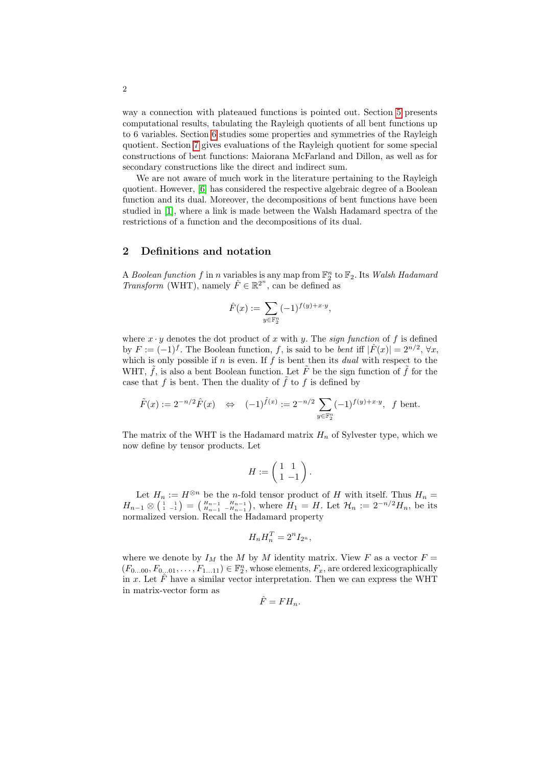way a connection with plateaued functions is pointed out. Section 5 presents computational results, tabulating the Rayleigh quotients of all bent functions up to 6 variables. Section 6 studies some properties and symmetries of the Rayleigh quotient. Section 7 gives evaluations of the Rayleigh quotient for some special constructions of bent functions: Maiorana McFarland and Dillon, as well as for secondary constructions like the direct and indirect sum.

<span id="page-1-0"></span>We are not aware of much work in the literature pertaining to the Rayleigh quotient. However, [6] has considered the respective algebraic degree of a Boolean function and its dual. Moreover, the decompositions of bent functions have been studied in [1], where a link is made between the Walsh Hadamard spectra of the restrictions of a function and the decompositions of its dual.

#### 2 Definitions and notation

A Boolean function f in n variables is any map from  $\mathbb{F}_2^n$  to  $\mathbb{F}_2$ . Its Walsh Hadamard *Transform* (WHT), namely  $\hat{F} \in \mathbb{R}^{2^n}$ , can be defined as

$$
\hat{F}(x) := \sum_{y \in \mathbb{F}_2^n} (-1)^{f(y) + x \cdot y},
$$

where  $x \cdot y$  denotes the dot product of x with y. The sign function of f is defined by  $F := (-1)^f$ . The Boolean function, f, is said to be *bent* iff  $|\hat{F}(x)| = 2^{n/2}$ ,  $\forall x$ , which is only possible if  $n$  is even. If  $f$  is bent then its *dual* with respect to the WHT,  $\tilde{f}$ , is also a bent Boolean function. Let  $\tilde{F}$  be the sign function of  $\tilde{f}$  for the case that f is bent. Then the duality of  $\tilde{f}$  to f is defined by

$$
\tilde{F}(x) := 2^{-n/2} \hat{F}(x) \iff (-1)^{\tilde{f}(x)} := 2^{-n/2} \sum_{y \in \mathbb{F}_2^n} (-1)^{f(y) + x \cdot y}, \quad f \text{ bent.}
$$

The matrix of the WHT is the Hadamard matrix  $H_n$  of Sylvester type, which we now define by tensor products. Let

$$
H:=\left(\begin{array}{cc} 1 & 1 \\ 1 & -1 \end{array}\right).
$$

Let  $H_n := H^{\otimes n}$  be the *n*-fold tensor product of H with itself. Thus  $H_n =$  $H_{n-1} \otimes \left( \begin{array}{c} 1 & 1 \\ 1 & -1 \end{array} \right) = \left( \begin{array}{c} H_{n-1} & H_{n-1} \\ H_{n-1} & -H_{n-1} \end{array} \right)$ , where  $H_1 = H$ . Let  $\mathcal{H}_n := 2^{-n/2} H_n$ , be its normalized version. Recall the Hadamard property

$$
H_n H_n^T = 2^n I_{2^n},
$$

where we denote by  $I_M$  the M by M identity matrix. View F as a vector  $F =$  $(F_{0...00}, F_{0...01}, \ldots, F_{1...11}) \in \mathbb{F}_2^n$ , whose elements,  $F_x$ , are ordered lexicographically in x. Let  $\hat{F}$  have a similar vector interpretation. Then we can express the WHT in matrix-vector form as

$$
\hat{F} = FH_n.
$$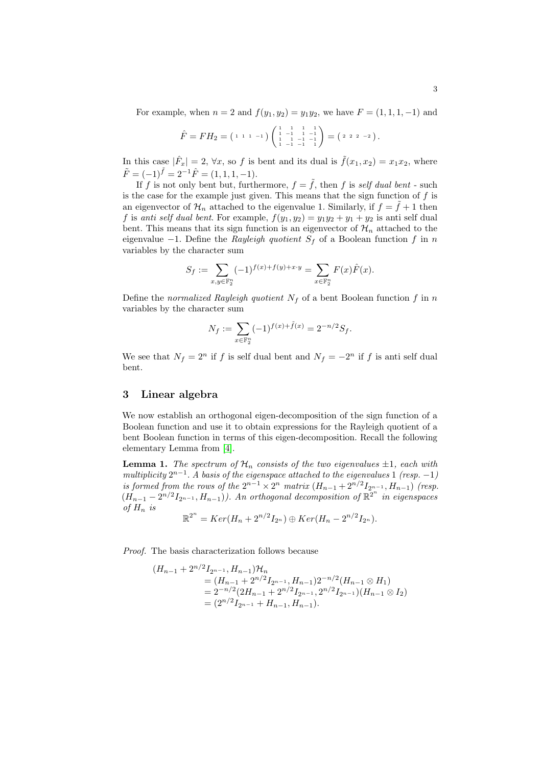For example, when  $n = 2$  and  $f(y_1, y_2) = y_1 y_2$ , we have  $F = (1, 1, 1, -1)$  and

$$
\hat{F} = FH_2 = \left( \begin{smallmatrix} 1 & 1 & 1 & -1 \end{smallmatrix} \right) \left( \begin{smallmatrix} 1 & 1 & 1 & 1 & 1 \\ 1 & -1 & 1 & -1 \\ 1 & 1 & -1 & -1 \\ 1 & -1 & -1 & 1 \end{smallmatrix} \right) = \left( \begin{smallmatrix} 2 & 2 & 2 & -2 \end{smallmatrix} \right).
$$

In this case  $|\hat{F}_x| = 2$ ,  $\forall x$ , so f is bent and its dual is  $\tilde{f}(x_1, x_2) = x_1 x_2$ , where  $\tilde{F} = (-1)^{\tilde{f}} = 2^{-1}\hat{F} = (1, 1, 1, -1).$ 

If f is not only bent but, furthermore,  $f = \tilde{f}$ , then f is self dual bent - such is the case for the example just given. This means that the sign function of  $f$  is an eigenvector of  $\mathcal{H}_n$  attached to the eigenvalue 1. Similarly, if  $f = \hat{f} + 1$  then f is anti self dual bent. For example,  $f(y_1, y_2) = y_1y_2 + y_1 + y_2$  is anti self dual bent. This means that its sign function is an eigenvector of  $\mathcal{H}_n$  attached to the eigenvalue  $-1$ . Define the Rayleigh quotient  $S_f$  of a Boolean function f in n variables by the character sum

$$
S_f := \sum_{x,y \in \mathbb{F}_2^n} (-1)^{f(x) + f(y) + x \cdot y} = \sum_{x \in \mathbb{F}_2^n} F(x) \hat{F}(x).
$$

Define the normalized Rayleigh quotient  $N_f$  of a bent Boolean function f in n variables by the character sum

$$
N_f := \sum_{x \in \mathbb{F}_2^n} (-1)^{f(x) + \tilde{f}(x)} = 2^{-n/2} S_f.
$$

<span id="page-2-0"></span>We see that  $N_f = 2^n$  if f is self dual bent and  $N_f = -2^n$  if f is anti self dual bent.

# 3 [L](#page-14-0)inear algebra

We now establish an orthogonal eigen-decomposition of the sign function of a Boolean function and use it to obtain expressions for the Rayleigh quotient of a bent Boolean function in terms of this eigen-decomposition. Recall the following elementary Lemma from [4].

**Lemma 1.** The spectrum of  $\mathcal{H}_n$  consists of the two eigenvalues  $\pm 1$ , each with multiplicity  $2^{n-1}$ . A basis of the eigenspace attached to the eigenvalues 1 (resp. -1) is formed from the rows of the  $2^{n-1} \times 2^n$  matrix  $(H_{n-1} + 2^{n/2} I_{2^{n-1}}, H_{n-1})$  (resp.  $(H_{n-1}-2^{n/2}I_{2^{n-1}},H_{n-1})$ . An orthogonal decomposition of  $\mathbb{R}^{2^n}$  in eigenspaces of  $H_n$  is n

$$
\mathbb{R}^{2^n} = Ker(H_n + 2^{n/2}I_{2^n}) \oplus Ker(H_n - 2^{n/2}I_{2^n}).
$$

Proof. The basis characterization follows because

$$
(H_{n-1} + 2^{n/2}I_{2^{n-1}}, H_{n-1})\mathcal{H}_n
$$
  
=  $(H_{n-1} + 2^{n/2}I_{2^{n-1}}, H_{n-1})2^{-n/2}(H_{n-1} \otimes H_1)$   
=  $2^{-n/2}(2H_{n-1} + 2^{n/2}I_{2^{n-1}}, 2^{n/2}I_{2^{n-1}})(H_{n-1} \otimes I_2)$   
=  $(2^{n/2}I_{2^{n-1}} + H_{n-1}, H_{n-1}).$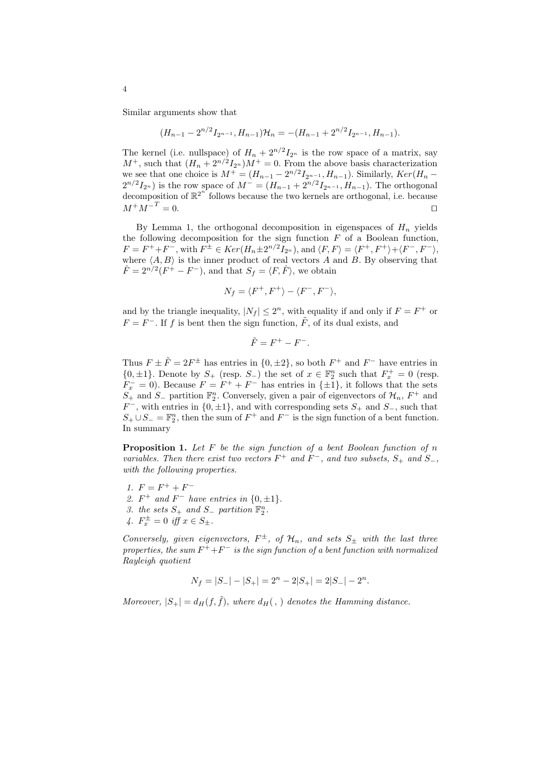Similar arguments show that

$$
(H_{n-1}-2^{n/2}I_{2^{n-1}},H_{n-1})\mathcal{H}_n=-(H_{n-1}+2^{n/2}I_{2^{n-1}},H_{n-1}).
$$

The kernel (i.e. nullspace) of  $H_n + 2^{n/2} I_{2^n}$  is the row space of a matrix, say  $M^+$ , such that  $(H_n + 2^{n/2}I_{2^n})M^+ = 0$ . From the above basis characterization we see that one choice is  $M^{+} = (H_{n-1} - 2^{n/2} I_{2^{n-1}}, H_{n-1})$ . Similarly,  $Ker(H_n 2^{n/2}I_{2^n}$ ) is the row space of  $M^- = (H_{n-1} + 2^{n/2}I_{2^{n-1}}, H_{n-1})$ . The orthogonal  $\alpha$  decomposition of  $\mathbb{R}^{2^n}$  follows because the two kernels are orthogonal, i.e. because  $M^+M^{-T} = 0.$ 

By Lemma 1, the orthogonal decomposition in eigenspaces of  $H_n$  yields the following decomposition for the sign function  $F$  of a Boolean function,  $F = F^+ + F^-$ , with  $F^{\pm} \in Ker(H_n \pm 2^{n/2} I_{2^n})$ , and  $\langle F, F \rangle = \langle F^+, F^+ \rangle + \langle F^-, F^- \rangle$ , where  $\langle A, B \rangle$  is the inner product of real vectors A and B. By observing that  $\hat{F} = 2^{n/2} (F^+ - F^-)$ , and that  $S_f = \langle F, \hat{F} \rangle$ , we obtain

$$
N_f = \langle F^+, F^+ \rangle - \langle F^-, F^- \rangle,
$$

and by the triangle inequality,  $|N_f| \leq 2^n$ , with equality if and only if  $F = F^+$  or  $F = F^-$ . If f is bent then the sign function,  $\tilde{F}$ , of its dual exists, and

$$
\tilde{F} = F^+ - F^-.
$$

Thus  $F \pm \tilde{F} = 2F^{\pm}$  has entries in  $\{0, \pm 2\}$ , so both  $F^+$  and  $F^-$  have entries in  ${0,\pm 1}$ . Denote by  $S_+$  (resp.  $S_-$ ) the set of  $x \in \mathbb{F}_2^n$  such that  $F_x^+ = 0$  (resp.  $F_x^- = 0$ ). Because  $F = F^+ + F^-$  has entries in  $\{\pm 1\}$ , it follows that the sets  $S_+$  and  $S_-$  partition  $\mathbb{F}_2^n$ . Conversely, given a pair of eigenvectors of  $\mathcal{H}_n$ ,  $F^+$  and  $F^-$ , with entries in  $\{0, \pm 1\}$ , and with corresponding sets  $S_+$  and  $S_-$ , such that  $S_+ \cup S_- = \mathbb{F}_2^n$ , then the sum of  $F^+$  and  $F^-$  is the sign function of a bent function. In summary

**Proposition 1.** Let  $F$  be the sign function of a bent Boolean function of  $n$ variables. Then there exist two vectors  $F^+$  and  $F^-$ , and two subsets,  $S_+$  and  $S_-$ , with the following properties.

1.  $F = F^+ + F^-$ 2.  $F^+$  and  $F^-$  have entries in  $\{0, \pm 1\}$ . 3. the sets  $S_+$  and  $S_-$  partition  $\mathbb{F}_2^n$ . 4.  $F_x^{\pm} = 0$  iff  $x \in S_{\pm}$ .

<span id="page-3-0"></span>Conversely, given eigenvectors,  $F^{\pm}$ , of  $\mathcal{H}_n$ , and sets  $S_{\pm}$  with the last three properties, the sum  $F^+ + F^-$  is the sign function of a bent function with normalized Rayleigh quotient

$$
N_f = |S_-| - |S_+| = 2^n - 2|S_+| = 2|S_-| - 2^n.
$$

Moreover,  $|S_+| = d_H(f, \tilde{f})$ , where  $d_H(f, \tilde{f})$  denotes the Hamming distance.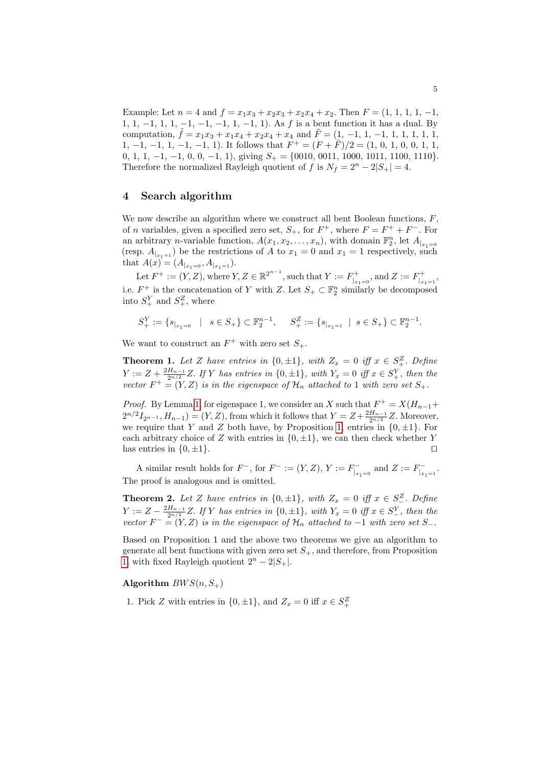<span id="page-4-0"></span>Example: Let  $n = 4$  and  $f = x_1x_3 + x_2x_3 + x_2x_4 + x_2$ . Then  $F = (1, 1, 1, 1, -1,$ 1, 1, -1, 1, 1, -1, -1, -1, 1, -1, 1). As f is a bent function it has a dual. By computation, ˜f = x1x<sup>3</sup> + x1x<sup>4</sup> + x2x<sup>4</sup> + x<sup>4</sup> and F˜ = (1, −1, 1, −1, 1, 1, 1, 1, 1, 1, -1, -1, -1, -1, -1, 1). It follows that  $F^+ = (F + \tilde{F})/2 = (1, 0, 1, 0, 0, 1, 1, 1)$ 0, 1, 1, -1, -1, 0, 0, -1, 1), giving  $S_+ = \{0010, 0011, 1000, 1011, 1100, 1110\}.$ Therefore the normalized Rayleigh quotient of f is  $N_f = 2^n - 2|S_+| = 4$ .

# 4 Search algorithm

We now describe an algorithm where we construct all bent Boolean functions,  $F$ , of *n* variables, given a specified zero set,  $S_+$ , for  $F^+$ , where  $F = F^+ + F^-$ . For an arbitrary *n*-variable function,  $A(x_1, x_2, \ldots, x_n)$ , with domain  $\mathbb{F}_2^n$ , let  $A_{|x_1=0}$ (resp.  $A_{x_1=1}$ ) be the restrictions of A to  $x_1=0$  and  $x_1=1$  respectively, such that  $A(x) = (A_{|x_1=0}, A_{|x_1=1}).$ 

Let  $F^+ := (Y, Z)$ , where  $Y, Z \in \mathbb{R}^{2^{n-1}}$ , such that  $Y := F^+_{|_{x_1=0}}$ , and  $Z := F^+_{|_{x_1=1}}$ , i.e.  $F^+$  is the concatenation of Y with Z. Let  $S_+ \subset \mathbb{F}_2^n$  similarly be decomposed into  $S^Y_+$  and  $S^Z_+$ , where

<span id="page-4-1"></span>
$$
S_+^Y:=\{s_{|_{x_1=0}}\quad|\quad s\in S_+\}\subset \mathbb{F}_2^{n-1},\quad \ S_+^Z:=\{s_{|_{x_1=1}}\ \mid\ s\in S_+\}\subset \mathbb{F}_2^{n-1}.
$$

We want to construct an  $F^+$  with zero set  $S_+$ .

**Theorem 1.** Let Z have entries in  $\{0, \pm 1\}$ , with  $Z_x = 0$  iff  $x \in S^Z_+$ . Define  $Y := Z + \frac{2H_{n-1}}{2^{n/2}}Z$ . If Y has entr[ies](#page-3-0) in  $\{0, \pm 1\}$ , with  $Y_x = 0$  iff  $x \in S_+^Y$ , then the vector  $F^+ = (Y, Z)$  is in the eigenspace of  $\mathcal{H}_n$  attached to 1 with zero set  $S_+$ .

*Proof.* By Lemma 1, for eigenspace 1, we consider an X such that  $F^+ = X(H_{n-1} +$  $2^{n/2}I_{2^{n-1}}, H_{n-1}) = (Y, Z)$ , from which it follows that  $Y = Z + \frac{2H_{n-1}}{2^{n/2}}Z$ . Moreover, we require that Y and Z both have, by Proposition 1, entries in  $\{0, \pm 1\}$ . For each arbitrary choice of Z with entries in  $\{0, \pm 1\}$ , we can then check whether Y has entries in  $\{0, \pm 1\}$ .

A similar result holds for  $F^-$ , for  $F^- := (Y, Z), Y := F^-_{|_{x_1=0}}$  and  $Z := F^-_{|_{x_1=1}}$ . The proof is analogous and is omitted.

**Theorem 2.** Let Z have entries in  $\{0, \pm 1\}$ , with  $Z_x = 0$  iff  $x \in S^Z$ . Define  $Y := Z - \frac{2H_{n-1}}{2^{n/2}}Z$ . If Y has entries in  $\{0, \pm 1\}$ , with  $Y_x = 0$  iff  $x \in S_+^Y$ , then the vector  $F^- = (Y, Z)$  is in the eigenspace of  $\mathcal{H}_n$  attached to -1 with zero set  $S_-$ .

Based on Proposition 1 and the above two theorems we give an algorithm to generate all bent functions with given zero set  $S_+$ , and therefore, from Proposition 1, with fixed Rayleigh quotient  $2^{n} - 2|S_+|$ .

Algorithm  $BWS(n, S_+)$ 

1. Pick Z with entries in  $\{0, \pm 1\}$ , and  $Z_x = 0$  iff  $x \in S^Z_+$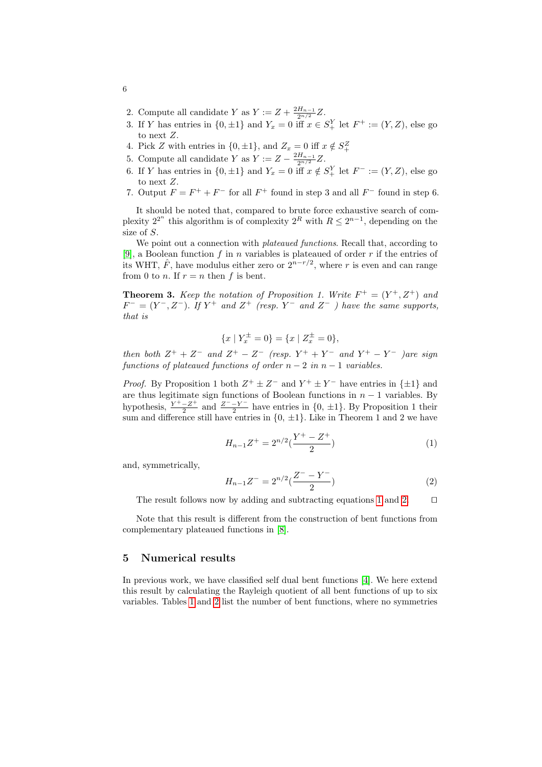- 2. Compute all candidate Y as  $Y := Z + \frac{2H_{n-1}}{2^{n/2}}Z$ .
- 3. If Y has entries in  $\{0, \pm 1\}$  and  $Y_x = 0$  iff  $x \in S^Y_+$  let  $F^+ := (Y, Z)$ , else go to next Z.
- 4. Pick Z with entries in  $\{0, \pm 1\}$ , and  $Z_x = 0$  iff  $x \notin S^Z_+$
- 5. Compute all candidate Y as  $Y := Z \frac{2H_{n-1}}{2^{n/2}}Z$ .
- 6. If Y has entries in  $\{0, \pm 1\}$  and  $Y_x = 0$  iff  $x \notin S^Y_+$  let  $F^- := (Y, Z)$ , else go to next Z.
- 7. Output  $F = F^+ + F^-$  for all  $F^+$  found in step 3 and all  $F^-$  found in step 6.

It should be noted that, compared to brute force exhaustive search of complexity  $2^{2^n}$  this algorithm is of complexity  $2^R$  with  $R \leq 2^{n-1}$ , depending on the size of S.

We point out a connection with *plateaued functions*. Recall that, according to [9], a Boolean function f in n variables is plateaued of order r if the entries of its WHT,  $\hat{F}$ , have modulus either zero or  $2^{n-r/2}$ , where r is even and can range from 0 to *n*. If  $r = n$  then f is bent.

**Theorem 3.** Keep the notation of Proposition 1. Write  $F^+ = (Y^+, Z^+)$  and  $F^- = (Y^-, Z^-)$ . If  $Y^+$  and  $Z^+$  (resp.  $Y^-$  and  $Z^-$  ) have the same supports, that is

$$
\{x \mid Y_x^{\pm} = 0\} = \{x \mid Z_x^{\pm} = 0\},\
$$

then both  $Z^+ + Z^-$  and  $Z^+ - Z^-$  (resp.  $Y^+ + Y^-$  and  $Y^+ - Y^-$  )are sign functions of plateaued functions of order  $n-2$  in  $n-1$  variables.

<span id="page-5-1"></span><span id="page-5-0"></span>*Proof.* By Proposition 1 both  $Z^+ \pm Z^-$  and  $Y^+ \pm Y^-$  have entries in  $\{\pm 1\}$  and are thus legitimate sign functions of Boolean functions in  $n - 1$  variables. By hypothesis,  $\frac{Y^+ - Z^+}{2}$  $\frac{-Z^+}{2}$  and  $\frac{Z^--Y^-}{2}$  $\frac{-Y}{2}$  have entries in  $\{0, \pm 1\}$ . By Proposition 1 their sum and difference still have entries in  $\{0, \pm 1\}$ . Like in Theorem 1 and 2 we have

$$
H_{n-1}Z^{+} = 2^{n/2}(\frac{Y^{+} - Z^{+}}{2})
$$
\n(1)

and, symmetricall[y,](#page-14-1)

$$
H_{n-1}Z^{-} = 2^{n/2} \left(\frac{Z^{-} - Y^{-}}{2}\right)
$$
 (2)

The result follows now by adding and subtracting equations 1 and 2.  $\Box$ 

Note that this result is different fro[m t](#page-14-0)he construction of bent functions from complementary plateaued functions in [8].

#### 5 Numerical results

In previous work, we have classified self dual bent functions [4]. We here extend this result by calculating the Rayleigh quotient of all bent functions of up to six variables. Tables 1 and 2 list the number of bent functions, where no symmetries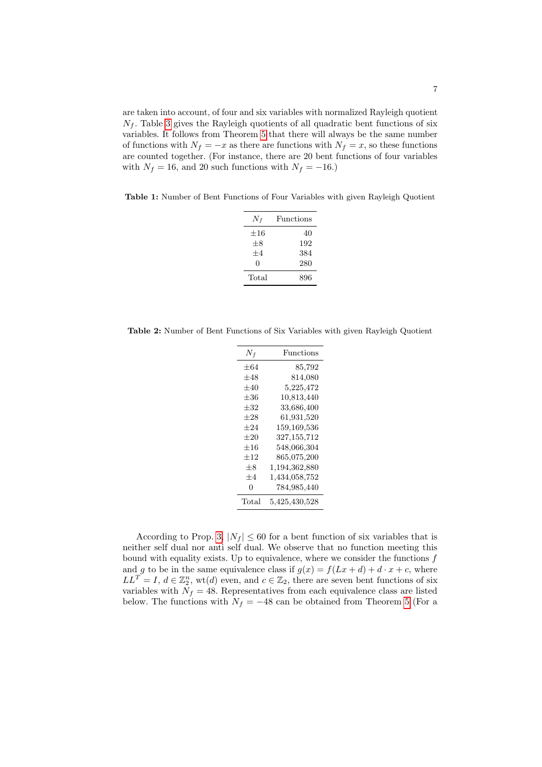are taken into account, of four and six variables with normalized Rayleigh quotient  $N_f$ . Table 3 gives the Rayleigh quotients of all quadratic bent functions of six variables. It follows from Theorem 5 that there will always be the same number of functions with  $N_f = -x$  as there are functions with  $N_f = x$ , so these functions are counted together. (For instance, there are 20 bent functions of four variables with  $N_f = 16$ , and 20 such functions with  $N_f = -16$ .)

Table 1: Number of Bent Functions of Four Variables with given Rayleigh Quotient

| Functions |
|-----------|
| 40        |
| 192       |
| 384       |
| 280       |
| 896       |
|           |

Table 2: Number of Bent Functions of Six Variables with given Rayleigh Quotient

| $+64$<br>85,792<br>$+48$<br>814,080<br>$+40$<br>5,225,472<br>10,813,440<br>$+36$<br>$+32$<br>33,686,400<br>$\!\!\!\!\!0.931,520$<br>$+28$<br>$+24$<br>159,169,536<br>327,155,712<br>$+20$<br>$+16$<br>548,066,304<br>$+12$<br>865,075,200<br>$+8$<br>1,194,362,880<br>1,434,058,752<br>$+4$<br>784,985,440<br>$\mathbf{0}$<br>Total<br>5,425,430,528 | $N_{\it f}$ | Functions |
|------------------------------------------------------------------------------------------------------------------------------------------------------------------------------------------------------------------------------------------------------------------------------------------------------------------------------------------------------|-------------|-----------|
|                                                                                                                                                                                                                                                                                                                                                      |             |           |
|                                                                                                                                                                                                                                                                                                                                                      |             |           |
|                                                                                                                                                                                                                                                                                                                                                      |             |           |
|                                                                                                                                                                                                                                                                                                                                                      |             |           |
|                                                                                                                                                                                                                                                                                                                                                      |             |           |
|                                                                                                                                                                                                                                                                                                                                                      |             |           |
|                                                                                                                                                                                                                                                                                                                                                      |             |           |
|                                                                                                                                                                                                                                                                                                                                                      |             |           |
|                                                                                                                                                                                                                                                                                                                                                      |             |           |
|                                                                                                                                                                                                                                                                                                                                                      |             |           |
|                                                                                                                                                                                                                                                                                                                                                      |             |           |
|                                                                                                                                                                                                                                                                                                                                                      |             |           |
|                                                                                                                                                                                                                                                                                                                                                      |             |           |
|                                                                                                                                                                                                                                                                                                                                                      |             |           |

According to Prop. 3,  $|N_f| \leq 60$  for a bent function of six variables that is neither self dual nor anti self dual. We observe [tha](#page-10-0)t no function meeting this bound with equality exists. Up to equivalence, where we consider the functions  $f$ and g to be in the same equivalence class if  $g(x) = f(Lx + d) + d \cdot x + c$ , where  $LL^T = I, d \in \mathbb{Z}_2^n$ , wt(d) even, and  $c \in \mathbb{Z}_2$ , there are seven bent functions of six variables with  $N_f = 48$ . Representatives from each equivalence class are listed below. The functions with  $N_f = -48$  can be obtained from Theorem 5 (For a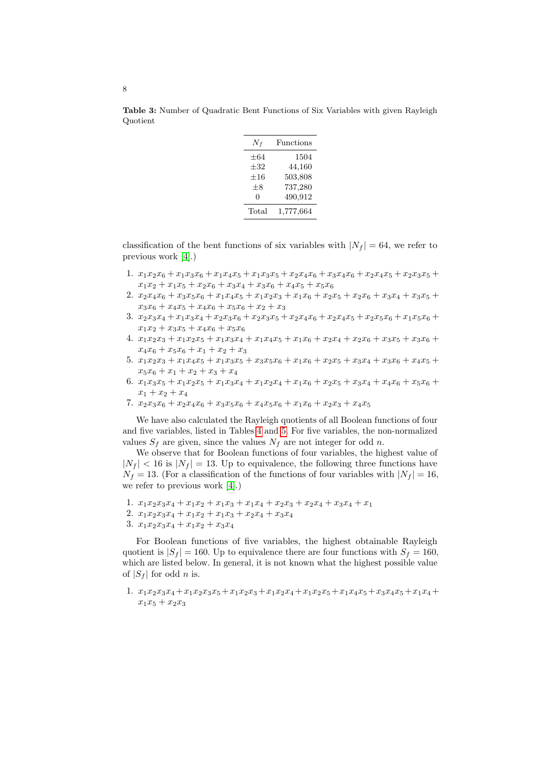| $N_f$    | <b>Functions</b> |
|----------|------------------|
| $+64$    | 1504             |
| $+32$    | 44,160           |
| $\pm 16$ | 503,808          |
| $+8$     | 737,280          |
| 0        | 490,912          |
| Total    | 1,777,664        |

Table 3: Number of Quadratic Bent Functions of Six Variables with given Rayleigh Quotient

classification of the bent functions of six variables with  $|N_f| = 64$ , we refer to previous work [4].)

- 1.  $x_1x_2x_6 + x_1x_3x_6 + x_1x_4x_5 + x_1x_3x_5 + x_2x_4x_6 + x_3x_4x_6 + x_2x_4x_5 + x_2x_3x_5 +$  $x_1x_2 + x_1x_5 + x_2x_6 + x_3x_4 + x_3x_6 + x_4x_5 + x_5x_6$
- 2.  $x_2x_4x_6 + x_3x_5x_6 + x_1x_4x_5 + x_1x_2x_3 + x_1x_6 + x_2x_5 + x_2x_6 + x_3x_4 + x_3x_5 +$  $x_3x_6 + x_4x_5 + x_4x_6 + x_5x_6 + x_2 + x_3$
- 3.  $x_2x_3x_4 + x_1x_3x_4 + x_2x_3x_6 + x_2x_3x_5 + x_2x_4x_6 + x_2x_4x_5 + x_2x_5x_6 + x_1x_5x_6 +$  $x_1x_2 + x_3x_5 + x_4x_6 + x_5x_6$
- 4.  $x_1x_2x_3 + x_1x_2x_5 + x_1x_3x_4 + x_1x_4x_5 + x_1x_6 + x_2x_4 + x_2x_6 + x_3x_5 + x_3x_6 +$  $x_4x_6 + x_5x_6 + x_1 + x_2 + x_3$
- 5.  $x_1x_2x_3 + x_1x_4x_5 + x_1x_3x_5 + x_3x_5x_6 + x_1x_6 + x_2x_5 + x_3x_4 + x_3x_6 + x_4x_5 +$  $x_5x_6 + x_1 + x_2 + x_3 + x_4$  $x_5x_6 + x_1 + x_2 + x_3 + x_4$  $x_5x_6 + x_1 + x_2 + x_3 + x_4$  $x_5x_6 + x_1 + x_2 + x_3 + x_4$  $x_5x_6 + x_1 + x_2 + x_3 + x_4$
- 6.  $x_1x_3x_5 + x_1x_2x_5 + x_1x_3x_4 + x_1x_2x_4 + x_1x_6 + x_2x_5 + x_3x_4 + x_4x_6 + x_5x_6 +$  $x_1 + x_2 + x_4$
- 7.  $x_2x_3x_6 + x_2x_4x_6 + x_3x_5x_6 + x_4x_5x_6 + x_1x_6 + x_2x_3 + x_4x_5$

We have also calculated the Rayleigh quotients of all Boolean functions of four and [five](#page-14-0) variables, listed in Tables 4 and 5. For five variables, the non-normalized values  $S_f$  are given, since the values  $N_f$  are not integer for odd n.

We observe that for Boolean functions of four variables, the highest value of  $|N_f|$  < 16 is  $|N_f|$  = 13. Up to equivalence, the following three functions have  $N_f = 13$ . (For a classification of the functions of four variables with  $|N_f| = 16$ , we refer to previous work [4].)

- 1.  $x_1x_2x_3x_4 + x_1x_2 + x_1x_3 + x_1x_4 + x_2x_3 + x_2x_4 + x_3x_4 + x_1$
- 2.  $x_1x_2x_3x_4 + x_1x_2 + x_1x_3 + x_2x_4 + x_3x_4$
- 3.  $x_1x_2x_3x_4 + x_1x_2 + x_3x_4$

For Boolean functions of five variables, the highest obtainable Rayleigh quotient is  $|S_f| = 160$ . Up to equivalence there are four functions with  $S_f = 160$ , which are listed below. In general, it is not known what the highest possible value of  $|S_f|$  for odd *n* is.

1.  $x_1x_2x_3x_4+x_1x_2x_3x_5+x_1x_2x_3+x_1x_2x_4+x_1x_2x_5+x_1x_4x_5+x_3x_4x_5+x_1x_4+$  $x_1x_5 + x_2x_3$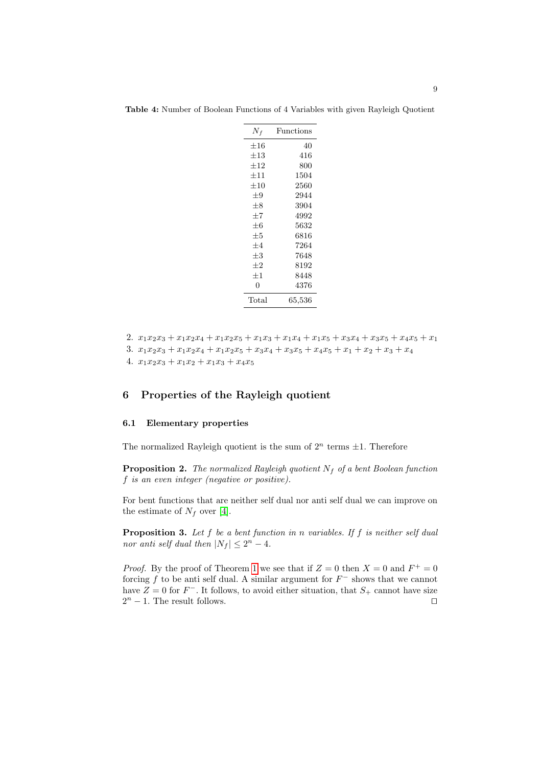| $N_f$    | Functions              |
|----------|------------------------|
| $\pm 16$ | 40                     |
| $\pm 13$ | 416                    |
| $\pm 12$ | 800                    |
| $+11$    | 1504                   |
| $\pm10$  | 2560                   |
| $+9$     | 2944                   |
| $\pm 8$  | 3904                   |
| $+7$     | 4992                   |
| $+6$     | 5632                   |
| $\pm 5$  | 6816                   |
| $+4$     | 7264                   |
| $\pm 3$  | 7648                   |
| $+2$     | 8192                   |
| $+1$     | 8448                   |
| 0        | 4376                   |
| Total    | $\hphantom{0}65,\!536$ |

<span id="page-8-0"></span>Table 4: Number of Boolean Functions of 4 Variables with given Rayleigh Quotient

```
2. x_1x_2x_3 + x_1x_2x_4 + x_1x_2x_5 + x_1x_3 + x_1x_4 + x_1x_5 + x_3x_4 + x_3x_5 + x_4x_5 + x_1
```
- 3.  $x_1x_2x_3 + x_1x_2x_4 + x_1x_2x_5 + x_3x_4 + x_3x_5 + x_4x_5 + x_1 + x_2 + x_3 + x_4$
- 4.  $x_1x_2x_3 + x_1x_2 + x_1x_3 + x_4x_5$

# 6 Properties of the Rayleigh quotient

### 6.1 Elementary properties

Th[e n](#page-14-0)ormalized Rayleigh quotient is the sum of  $2^n$  terms  $\pm 1$ . Therefore

**Proposition 2.** The normalized Rayleigh quotient  $N_f$  of a bent Boolean function f is an even integer (negative or positive).

For bent functions that are neither self dual nor anti self dual we can improve on th[e](#page-4-1) estimate of  $N_f$  over [4].

**Proposition 3.** Let  $f$  be a bent function in n variables. If  $f$  is neither self dual nor anti self dual then  $|N_f| \leq 2^n - 4$ .

*Proof.* By the proof of Theorem 1 we see that if  $Z = 0$  then  $X = 0$  and  $F^+ = 0$ forcing f to be anti self dual. A similar argument for  $F^-$  shows that we cannot have  $Z = 0$  for  $F^-$ . It follows, to avoid either situation, that  $S_+$  cannot have size  $2^n - 1$ . The result follows.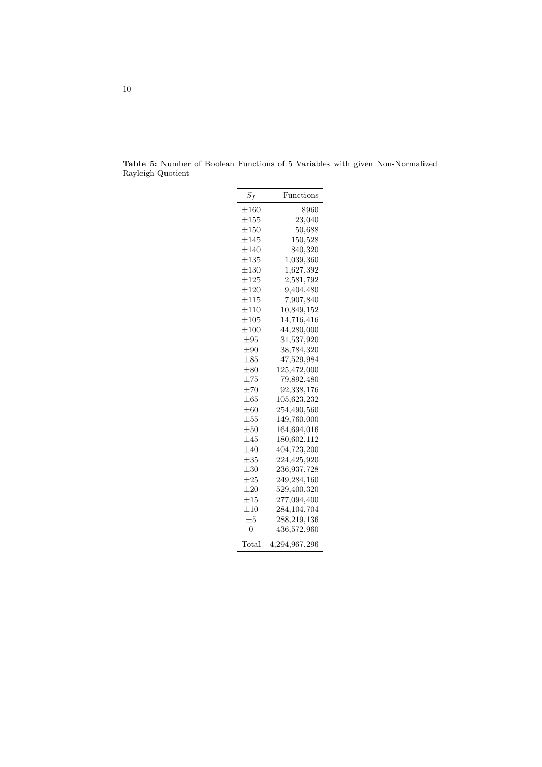| $S_f$     | Functions     |
|-----------|---------------|
| $\pm 160$ | 8960          |
| $\pm 155$ | 23,040        |
| $\pm 150$ | 50,688        |
| $\pm 145$ | 150,528       |
| $\pm 140$ | 840,320       |
| $\pm 135$ | 1,039,360     |
| $\pm 130$ | 1,627,392     |
| $\pm 125$ | 2,581,792     |
| $\pm 120$ | 9,404,480     |
| $\pm 115$ | 7,907,840     |
| $\pm 110$ | 10,849,152    |
| $\pm 105$ | 14,716,416    |
| $\pm 100$ | 44,280,000    |
| $\pm 95$  | 31,537,920    |
| $\pm 90$  | 38,784,320    |
| $\pm 85$  | 47,529,984    |
| $\pm 80$  | 125,472,000   |
| $\pm 75$  | 79,892,480    |
| $\pm 70$  | 92,338,176    |
| $\pm 65$  | 105,623,232   |
| $\pm 60$  | 254,490,560   |
| $\pm 55$  | 149,760,000   |
| $\pm 50$  | 164,694,016   |
| $\pm 45$  | 180,602,112   |
| $\pm 40$  | 404,723,200   |
| $\pm 35$  | 224,425,920   |
| $\pm 30$  | 236,937,728   |
| $\pm 25$  | 249, 284, 160 |
| $\pm 20$  | 529,400,320   |
| $\pm 15$  | 277,094,400   |
| $\pm 10$  | 284, 104, 704 |
| $\pm 5$   | 288,219,136   |
| 0         | 436,572,960   |
| Total     | 4,294,967,296 |

<span id="page-9-0"></span>Table 5: Number of Boolean Functions of 5 Variables with given Non-Normalized Rayleigh Quotient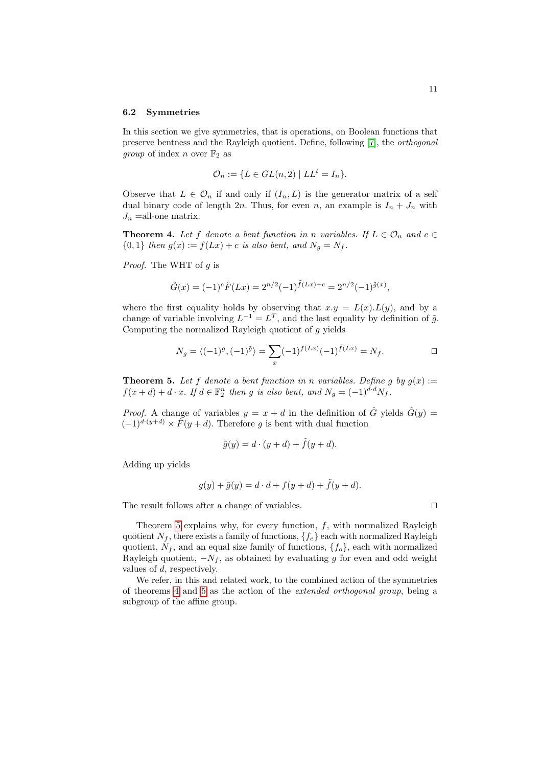#### 6.2 Symmetries

In this section we give symmetries, that is operations, on Boolean functions that preserve bentness and the Rayleigh quotient. Define, following [7], the orthogonal *group* of index *n* over  $\mathbb{F}_2$  as

$$
\mathcal{O}_n := \{ L \in GL(n, 2) \mid LL^t = I_n \}.
$$

Observe that  $L \in \mathcal{O}_n$  if and only if  $(I_n, L)$  is the generator matrix of a self dual binary code of length 2n. Thus, for even n, an example is  $I_n + J_n$  with  $J_n$  = all-one matrix.

**Theorem 4.** Let f denote a bent function in n variables. If  $L \in \mathcal{O}_n$  and  $c \in$  ${0, 1}$  then  $g(x) := f(Lx) + c$  is also bent, and  $N_g = N_f$ .

*Proof.* The WHT of  $q$  is

$$
\hat{G}(x) = (-1)^{c} \hat{F}(Lx) = 2^{n/2} (-1)^{\tilde{f}(Lx) + c} = 2^{n/2} (-1)^{\tilde{g}(x)},
$$

<span id="page-10-0"></span>where the first equality holds by observing that  $x.y = L(x).L(y)$ , and by a change of variable involving  $L^{-1} = L^T$ , and the last equality by definition of  $\tilde{g}$ . Computing the normalized Rayleigh quotient of g yields

$$
N_g = \langle (-1)^g, (-1)^{\tilde{g}} \rangle = \sum_x (-1)^{f(Lx)} (-1)^{\tilde{f}(Lx)} = N_f.
$$

**Theorem 5.** Let f denote a bent function in n variables. Define g by  $g(x)$  :=  $f(x+d) + d \cdot x$ . If  $d \in \mathbb{F}_2^n$  then g is also bent, and  $N_g = (-1)^{d \cdot d} N_f$ .

*Proof.* A change of variables  $y = x + d$  in the definition of  $\hat{G}$  yields  $\hat{G}(y) =$  $(-1)^{d \cdot (y+d)} \times \tilde{F}(y+d)$ . Therefore g is bent with dual function

$$
\tilde{g}(y) = d \cdot (y + d) + \tilde{f}(y + d).
$$

Adding up yields

$$
g(y) + \tilde{g}(y) = d \cdot d + f(y + d) + \tilde{f}(y + d).
$$

The result follows after a change of variables.  $\Box$ 

Theorem 5 explains why, for every function,  $f$ , with normalized Rayleigh [q](#page-10-0)uotient  $N_f$ , there exists a family of functions,  $\{f_e\}$  each with normalized Rayleigh quotient,  $N_f$ , and an equal size family of functions,  $\{f_o\}$ , each with normalized Rayleigh quotient,  $-N_f$ , as obtained by evaluating g for even and odd weight values of d, respectively.

We refer, in this and related work, to the combined action of the symmetries of theorems 4 and 5 as the action of the extended orthogonal group, being a subgroup of the affine group.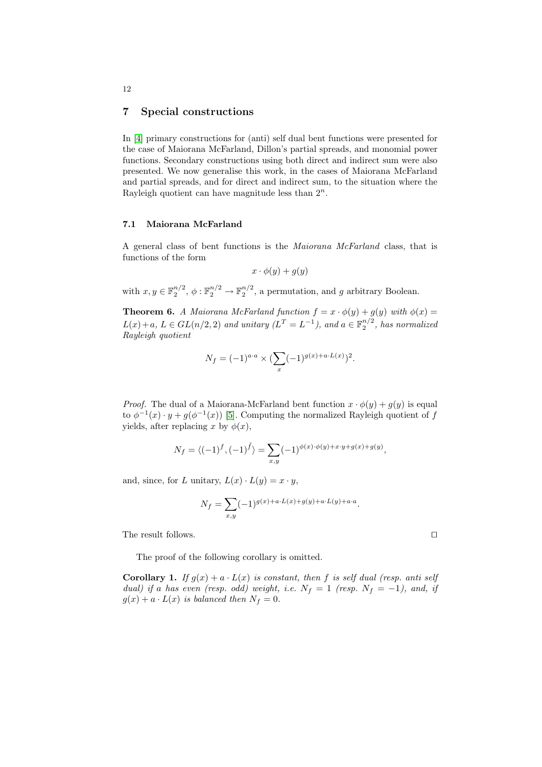#### 7 Special constructions

In [4] primary constructions for (anti) self dual bent functions were presented for the case of Maiorana McFarland, Dillon's partial spreads, and monomial power functions. Secondary constructions using both direct and indirect sum were also presented. We now generalise this work, in the cases of Maiorana McFarland and partial spreads, and for direct and indirect sum, to the situation where the Rayleigh quotient can have magnitude less than  $2^n$ .

#### 7.1 Maiorana McFarland

A general class of bent functions is the Maiorana McFarland class, that is functions of the form

$$
x \cdot \phi(y) + g(y)
$$

with  $x, y \in \mathbb{F}_2^{n/2}$ ,  $\phi: \mathbb{F}_2^{n/2} \to \mathbb{F}_2^{n/2}$ , a permutation, and g arbitrary Boolean.

**Theorem 6.** A Maiorana McFarland function  $f = x \cdot \phi(y) + g(y)$  with  $\phi(x) =$  $L(x)+a, L \in GL(n/2, 2)$  and unitary  $(L^T = L^{-1})$ , and  $a \in \mathbb{F}_2^{n/2}$ , has normalized Rayleigh quotient

$$
N_f = (-1)^{a \cdot a} \times (\sum_{x} (-1)^{g(x) + a \cdot L(x)})^2.
$$

*Proof.* The dual of a Maiorana-McFarland bent function  $x \cdot \phi(y) + q(y)$  is equal to  $\phi^{-1}(x) \cdot y + g(\phi^{-1}(x))$  [5]. Computing the normalized Rayleigh quotient of f yields, after replacing x by  $\phi(x)$ ,

$$
N_f = \langle (-1)^f, (-1)^{\tilde{f}} \rangle = \sum_{x,y} (-1)^{\phi(x) \cdot \phi(y) + x \cdot y + g(x) + g(y)},
$$

and, since, for L unitary,  $L(x) \cdot L(y) = x \cdot y$ ,

$$
N_f = \sum_{x,y} (-1)^{g(x) + a \cdot L(x) + g(y) + a \cdot L(y) + a \cdot a}.
$$

The result follows.

The proof of the following corollary is omitted.

**Corollary 1.** If  $g(x) + a \cdot L(x)$  is constant, then f is self dual (resp. anti self dual) if a has even (resp. odd) weight, i.e.  $N_f = 1$  (resp.  $N_f = -1$ ), and, if  $g(x) + a \cdot L(x)$  is balanced then  $N_f = 0$ .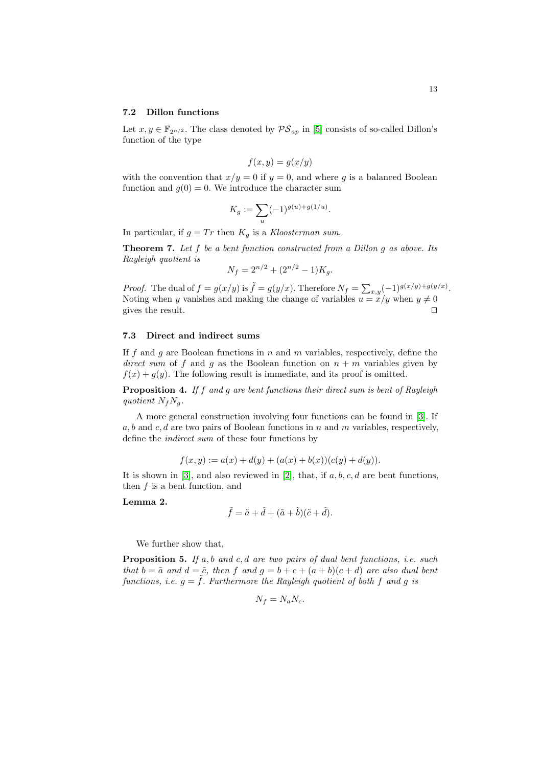Let  $x, y \in \mathbb{F}_{2^{n/2}}$ . The class denoted by  $\mathcal{PS}_{ap}$  in [5] consists of so-called Dillon's function of the type

$$
f(x, y) = g(x/y)
$$

with the convention that  $x/y = 0$  if  $y = 0$ , and where g is a balanced Boolean function and  $g(0) = 0$ . We introduce the character sum

$$
K_g := \sum_u (-1)^{g(u) + g(1/u)}.
$$

In particular, if  $g = Tr$  then  $K_g$  is a Kloosterman sum.

**Theorem 7.** Let  $f$  be a bent function constructed from a Dillon  $g$  as above. Its Rayleigh quotient is

$$
N_f = 2^{n/2} + (2^{n/2} - 1)K_g.
$$

*Proof.* The dual of  $f = g(x/y)$  is  $\tilde{f} = g(y/x)$ . Therefore  $N_f = \sum_{x,y} (-1)^{g(x/y) + g(y/x)}$ . Noting when y vanishes and making the change of variables  $u = x/y$  when  $y \neq 0$ gives the result.  $\Box$ 

#### 7.3 Direct and indirect sums

If f and g are Boolean functions in n and m variabl[es,](#page-14-2) respectively, define the direct sum of f and q as the Boolean function on  $n + m$  variables given by  $f(x) + g(y)$ . The following result is immediate, and its proof is omitted.

Proposition 4. If f and g are bent functions their direct sum is bent of Rayleigh quotient  $N_fN_q$ .

<span id="page-12-0"></span>A more general [co](#page-14-3)nstruction involving four functions can be found in [3]. If  $a, b$  and  $c, d$  are two pairs of Boolean functions in n and m variables, respectively, define the indirect sum of these four functions by

$$
f(x, y) := a(x) + d(y) + (a(x) + b(x))(c(y) + d(y)).
$$

It is shown in [3], and also reviewed in [2], that, if  $a, b, c, d$  are bent functions, then  $f$  is a bent function, and

Lemma 2.

$$
\tilde{f} = \tilde{a} + \tilde{d} + (\tilde{a} + \tilde{b})(\tilde{c} + \tilde{d}).
$$

We further show that,

**Proposition 5.** If a, b and c, d are two pairs of dual bent functions, i.e. such that  $b = \tilde{a}$  and  $d = \tilde{c}$ , then f and  $g = b + c + (a + b)(c + d)$  are also dual bent functions, i.e.  $g = \tilde{f}$ . Furthermore the Rayleigh quotient of both f and g is

$$
N_f = N_a N_c.
$$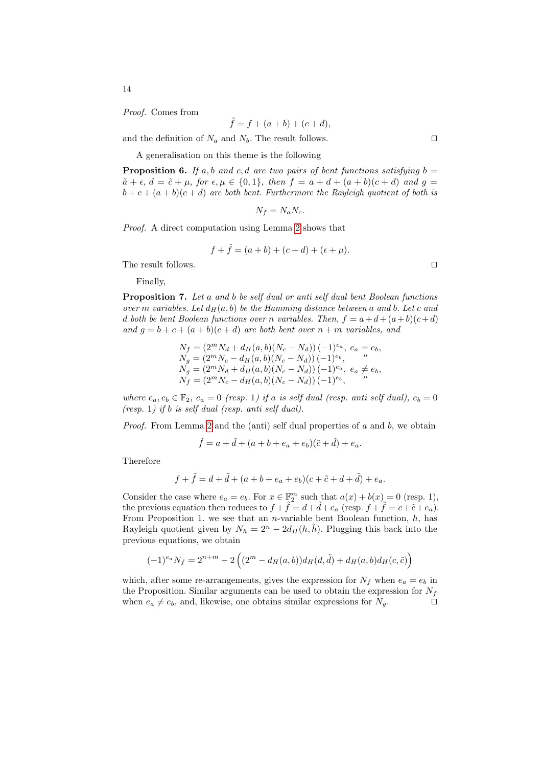Proof. Comes from

$$
\tilde{f} = f + (a+b) + (c+d),
$$

and the definition of  $N_a$  and  $N_b$ . The result follows.  $\Box$ 

A generalisation on this theme is the following

**Proposition 6.** If a, [b](#page-12-0) and c, d are two pairs of bent functions satisfying  $b =$  $\tilde{a} + \epsilon$ ,  $d = \tilde{c} + \mu$ , for  $\epsilon, \mu \in \{0, 1\}$ , then  $f = a + d + (a + b)(c + d)$  and  $g =$  $b + c + (a + b)(c + d)$  are both bent. Furthermore the Rayleigh quotient of both is

$$
N_f = N_a N_c.
$$

Proof. A direct computation using Lemma 2 shows that

$$
f + \tilde{f} = (a + b) + (c + d) + (\epsilon + \mu).
$$

The result follows.  $\hfill\Box$ 

Finally,

Proposition 7. Let a and b be self dual or anti self dual bent Boolean functions over m variables. Let  $d_H(a, b)$  be the Hamming distance between a and b. Let c and d both be bent Boolean functions over n variables. Then,  $f = a+d+(a+b)(c+d)$ and  $g = b + c + (a + b)(c + d)$  are both bent over  $n + m$  variables, and

$$
N_f = (2^m N_d + d_H(a, b)(N_c - N_d)) (-1)^{e_a}, e_a = e_b,
$$
  
\n
$$
N_g = (2^m N_c - d_H(a, b)(N_c - N_d)) (-1)^{e_b},
$$
  
\n
$$
N_g = (2^m N_d + d_H(a, b)(N_c - N_d)) (-1)^{e_a}, e_a \neq e_b,
$$
  
\n
$$
N_f = (2^m N_c - d_H(a, b)(N_c - N_d)) (-1)^{e_b},
$$

where  $e_a, e_b \in \mathbb{F}_2$ ,  $e_a = 0$  (resp. 1) if a is self dual (resp. anti self dual),  $e_b = 0$ (resp. 1) if b is self dual (resp. anti self dual).

*Proof.* From Lemma 2 and the (anti) self dual properties of  $a$  and  $b$ , we obtain

$$
\tilde{f} = a + \tilde{d} + (a + b + e_a + e_b)(\tilde{c} + \tilde{d}) + e_a.
$$

Therefore

$$
f + \tilde{f} = d + \tilde{d} + (a + b + e_a + e_b)(c + \tilde{c} + d + \tilde{d}) + e_a.
$$

Consider the case where  $e_a = e_b$ . For  $x \in \mathbb{F}_2^m$  such that  $a(x) + b(x) = 0$  (resp. 1), the previous equation then reduces to  $f + \tilde{f} = d + \tilde{d} + e_a$  (resp.  $f + \tilde{f} = c + \tilde{c} + e_a$ ). From Proposition 1. we see that an *n*-variable bent Boolean function,  $h$ , has Rayleigh quotient given by  $N_h = 2^n - 2d_H(h, \tilde{h})$ . Plugging this back into the previous equations, we obtain

$$
(-1)^{e_a} N_f = 2^{n+m} - 2\left( (2^m - d_H(a, b))d_H(d, \tilde{d}) + d_H(a, b)d_H(c, \tilde{c}) \right)
$$

which, after some re-arrangements, gives the expression for  $N_f$  when  $e_a = e_b$  in the Proposition. Similar arguments can be used to obtain the expression for  $N_f$ when  $e_a \neq e_b$ , and, likewise, one obtains similar expressions for  $N_g$ .